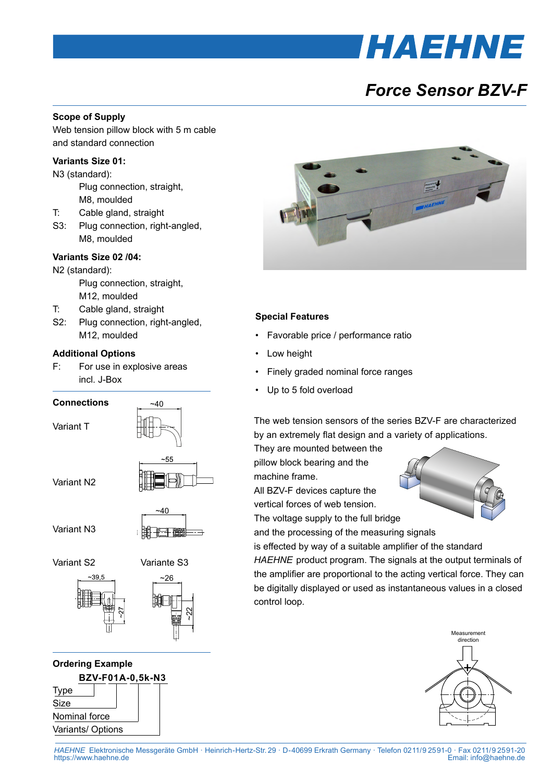## **HAEHNE**

### *Force Sensor BZV-F*

#### **Scope of Supply**

Web tension pillow block with 5 m cable and standard connection

#### **Variants Size 01:**

N3 (standard):

 Plug connection, straight, M8, moulded

- T: Cable gland, straight
- S3: Plug connection, right-angled, M8, moulded

#### **Variants Size 02 /04:**

N2 (standard):

 Plug connection, straight, M12, moulded

- T: Cable gland, straight
- S2: Plug connection, right-angled, M12, moulded

#### **Additional Options**

F: For use in explosive areas incl. J-Box



**BZV-F01A-0,5k-N3** Type Size Nominal force Variants/ Options **Ordering Example**



#### **Special Features**

- • Favorable price / performance ratio
- Low height
- Finely graded nominal force ranges
- Up to 5 fold overload

The web tension sensors of the series BZV-F are characterized by an extremely flat design and a variety of applications.

They are mounted between the pillow block bearing and the

machine frame.

All BZV-F devices capture the

vertical forces of web tension.

The voltage supply to the full bridge

and the processing of the measuring signals

is effected by way of a suitable amplifier of the standard *HAEHNE* product program. The signals at the output terminals of the amplifier are proportional to the acting vertical force. They can be digitally displayed or used as instantaneous values in a closed control loop.



*HAEHNE* Elektronische Messgeräte GmbH · Heinrich-Hertz-Str. 29 · D-40699 Erkrath Germany · Telefon 0211/9  25 91-0 · Fax 0211/9  25 91-20 Email: [info@haehne.de](mailto:info@haehne.de)